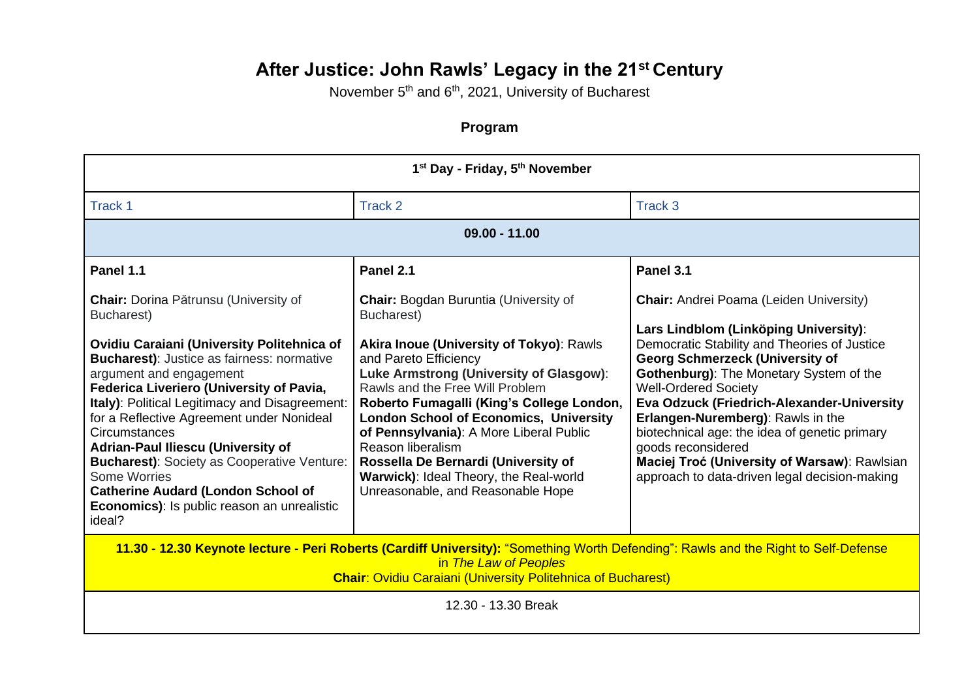## **After Justice: John Rawls' Legacy in the 21st Century**

November 5<sup>th</sup> and 6<sup>th</sup>, 2021, University of Bucharest

## **Program**

| 1 <sup>st</sup> Day - Friday, 5 <sup>th</sup> November                                                                                                                                                                                                                                                                                                                                                                                                                                                                                                                                      |                                                                                                                                                                                                                                                                                                                                                                                                                                                                                                          |                                                                                                                                                                                                                                                                                                                                                                                                                                                                                                                                      |
|---------------------------------------------------------------------------------------------------------------------------------------------------------------------------------------------------------------------------------------------------------------------------------------------------------------------------------------------------------------------------------------------------------------------------------------------------------------------------------------------------------------------------------------------------------------------------------------------|----------------------------------------------------------------------------------------------------------------------------------------------------------------------------------------------------------------------------------------------------------------------------------------------------------------------------------------------------------------------------------------------------------------------------------------------------------------------------------------------------------|--------------------------------------------------------------------------------------------------------------------------------------------------------------------------------------------------------------------------------------------------------------------------------------------------------------------------------------------------------------------------------------------------------------------------------------------------------------------------------------------------------------------------------------|
| Track 1                                                                                                                                                                                                                                                                                                                                                                                                                                                                                                                                                                                     | Track 2                                                                                                                                                                                                                                                                                                                                                                                                                                                                                                  | Track 3                                                                                                                                                                                                                                                                                                                                                                                                                                                                                                                              |
| $09.00 - 11.00$                                                                                                                                                                                                                                                                                                                                                                                                                                                                                                                                                                             |                                                                                                                                                                                                                                                                                                                                                                                                                                                                                                          |                                                                                                                                                                                                                                                                                                                                                                                                                                                                                                                                      |
| Panel 1.1                                                                                                                                                                                                                                                                                                                                                                                                                                                                                                                                                                                   | Panel 2.1                                                                                                                                                                                                                                                                                                                                                                                                                                                                                                | Panel 3.1                                                                                                                                                                                                                                                                                                                                                                                                                                                                                                                            |
| <b>Chair:</b> Dorina Pătrunsu (University of<br>Bucharest)<br>Ovidiu Caraiani (University Politehnica of<br><b>Bucharest):</b> Justice as fairness: normative<br>argument and engagement<br>Federica Liveriero (University of Pavia,<br>Italy): Political Legitimacy and Disagreement:<br>for a Reflective Agreement under Nonideal<br><b>Circumstances</b><br><b>Adrian-Paul Iliescu (University of</b><br><b>Bucharest):</b> Society as Cooperative Venture:<br>Some Worries<br><b>Catherine Audard (London School of</b><br><b>Economics):</b> Is public reason an unrealistic<br>ideal? | <b>Chair: Bogdan Buruntia (University of</b><br>Bucharest)<br><b>Akira Inoue (University of Tokyo): Rawls</b><br>and Pareto Efficiency<br>Luke Armstrong (University of Glasgow):<br>Rawls and the Free Will Problem<br>Roberto Fumagalli (King's College London,<br><b>London School of Economics, University</b><br>of Pennsylvania): A More Liberal Public<br>Reason liberalism<br>Rossella De Bernardi (University of<br>Warwick): Ideal Theory, the Real-world<br>Unreasonable, and Reasonable Hope | <b>Chair:</b> Andrei Poama (Leiden University)<br>Lars Lindblom (Linköping University):<br>Democratic Stability and Theories of Justice<br><b>Georg Schmerzeck (University of</b><br><b>Gothenburg): The Monetary System of the</b><br><b>Well-Ordered Society</b><br><b>Eva Odzuck (Friedrich-Alexander-University</b><br>Erlangen-Nuremberg): Rawls in the<br>biotechnical age: the idea of genetic primary<br>goods reconsidered<br>Maciej Troć (University of Warsaw): Rawlsian<br>approach to data-driven legal decision-making |
| 11.30 - 12.30 Keynote lecture - Peri Roberts (Cardiff University): "Something Worth Defending": Rawls and the Right to Self-Defense<br>in The Law of Peoples<br><b>Chair: Ovidiu Caraiani (University Politehnica of Bucharest)</b>                                                                                                                                                                                                                                                                                                                                                         |                                                                                                                                                                                                                                                                                                                                                                                                                                                                                                          |                                                                                                                                                                                                                                                                                                                                                                                                                                                                                                                                      |
| 12.30 - 13.30 Break                                                                                                                                                                                                                                                                                                                                                                                                                                                                                                                                                                         |                                                                                                                                                                                                                                                                                                                                                                                                                                                                                                          |                                                                                                                                                                                                                                                                                                                                                                                                                                                                                                                                      |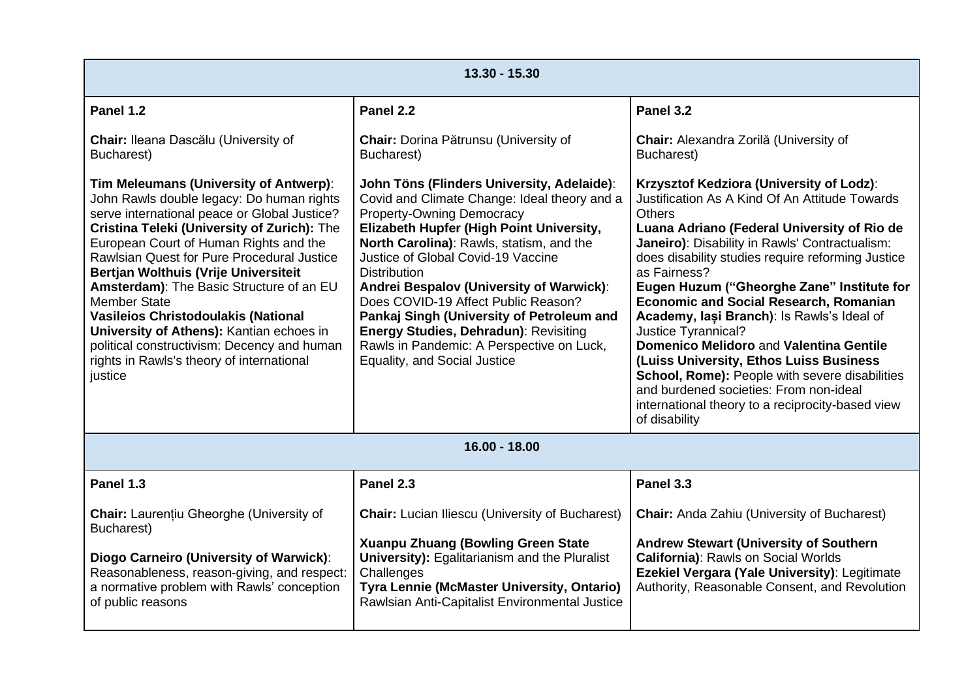| 13.30 - 15.30                                                                                                                                                                                                                                                                                                                                                                                                                                                                                                                                                                          |                                                                                                                                                                                                                                                                                                                                                                                                                                                                                                                                                         |                                                                                                                                                                                                                                                                                                                                                                                                                                                                                                                                                                                                                                                                                                                     |
|----------------------------------------------------------------------------------------------------------------------------------------------------------------------------------------------------------------------------------------------------------------------------------------------------------------------------------------------------------------------------------------------------------------------------------------------------------------------------------------------------------------------------------------------------------------------------------------|---------------------------------------------------------------------------------------------------------------------------------------------------------------------------------------------------------------------------------------------------------------------------------------------------------------------------------------------------------------------------------------------------------------------------------------------------------------------------------------------------------------------------------------------------------|---------------------------------------------------------------------------------------------------------------------------------------------------------------------------------------------------------------------------------------------------------------------------------------------------------------------------------------------------------------------------------------------------------------------------------------------------------------------------------------------------------------------------------------------------------------------------------------------------------------------------------------------------------------------------------------------------------------------|
| Panel 1.2                                                                                                                                                                                                                                                                                                                                                                                                                                                                                                                                                                              | Panel 2.2                                                                                                                                                                                                                                                                                                                                                                                                                                                                                                                                               | Panel 3.2                                                                                                                                                                                                                                                                                                                                                                                                                                                                                                                                                                                                                                                                                                           |
| Chair: Ileana Dascălu (University of<br>Bucharest)                                                                                                                                                                                                                                                                                                                                                                                                                                                                                                                                     | Chair: Dorina Pătrunsu (University of<br>Bucharest)                                                                                                                                                                                                                                                                                                                                                                                                                                                                                                     | Chair: Alexandra Zorilă (University of<br>Bucharest)                                                                                                                                                                                                                                                                                                                                                                                                                                                                                                                                                                                                                                                                |
| Tim Meleumans (University of Antwerp):<br>John Rawls double legacy: Do human rights<br>serve international peace or Global Justice?<br>Cristina Teleki (University of Zurich): The<br>European Court of Human Rights and the<br>Rawlsian Quest for Pure Procedural Justice<br>Bertjan Wolthuis (Vrije Universiteit<br>Amsterdam): The Basic Structure of an EU<br><b>Member State</b><br><b>Vasileios Christodoulakis (National</b><br>University of Athens): Kantian echoes in<br>political constructivism: Decency and human<br>rights in Rawls's theory of international<br>justice | John Töns (Flinders University, Adelaide):<br>Covid and Climate Change: Ideal theory and a<br><b>Property-Owning Democracy</b><br>Elizabeth Hupfer (High Point University,<br>North Carolina): Rawls, statism, and the<br>Justice of Global Covid-19 Vaccine<br><b>Distribution</b><br>Andrei Bespalov (University of Warwick):<br>Does COVID-19 Affect Public Reason?<br>Pankaj Singh (University of Petroleum and<br><b>Energy Studies, Dehradun): Revisiting</b><br>Rawls in Pandemic: A Perspective on Luck,<br><b>Equality, and Social Justice</b> | Krzysztof Kedziora (University of Lodz):<br>Justification As A Kind Of An Attitude Towards<br><b>Others</b><br>Luana Adriano (Federal University of Rio de<br>Janeiro): Disability in Rawls' Contractualism:<br>does disability studies require reforming Justice<br>as Fairness?<br>Eugen Huzum ("Gheorghe Zane" Institute for<br><b>Economic and Social Research, Romanian</b><br>Academy, lasi Branch): Is Rawls's Ideal of<br>Justice Tyrannical?<br><b>Domenico Melidoro and Valentina Gentile</b><br>(Luiss University, Ethos Luiss Business<br>School, Rome): People with severe disabilities<br>and burdened societies: From non-ideal<br>international theory to a reciprocity-based view<br>of disability |
| $16.00 - 18.00$                                                                                                                                                                                                                                                                                                                                                                                                                                                                                                                                                                        |                                                                                                                                                                                                                                                                                                                                                                                                                                                                                                                                                         |                                                                                                                                                                                                                                                                                                                                                                                                                                                                                                                                                                                                                                                                                                                     |
| Panel 1.3                                                                                                                                                                                                                                                                                                                                                                                                                                                                                                                                                                              | Panel 2.3                                                                                                                                                                                                                                                                                                                                                                                                                                                                                                                                               | Panel 3.3                                                                                                                                                                                                                                                                                                                                                                                                                                                                                                                                                                                                                                                                                                           |
| <b>Chair:</b> Laurențiu Gheorghe (University of<br>Bucharest)                                                                                                                                                                                                                                                                                                                                                                                                                                                                                                                          | <b>Chair:</b> Lucian Iliescu (University of Bucharest)                                                                                                                                                                                                                                                                                                                                                                                                                                                                                                  | <b>Chair:</b> Anda Zahiu (University of Bucharest)                                                                                                                                                                                                                                                                                                                                                                                                                                                                                                                                                                                                                                                                  |
| Diogo Carneiro (University of Warwick):<br>Reasonableness, reason-giving, and respect:<br>a normative problem with Rawls' conception<br>of public reasons                                                                                                                                                                                                                                                                                                                                                                                                                              | <b>Xuanpu Zhuang (Bowling Green State</b><br><b>University): Egalitarianism and the Pluralist</b><br>Challenges<br>Tyra Lennie (McMaster University, Ontario)<br>Rawlsian Anti-Capitalist Environmental Justice                                                                                                                                                                                                                                                                                                                                         | <b>Andrew Stewart (University of Southern</b><br>California): Rawls on Social Worlds<br>Ezekiel Vergara (Yale University): Legitimate<br>Authority, Reasonable Consent, and Revolution                                                                                                                                                                                                                                                                                                                                                                                                                                                                                                                              |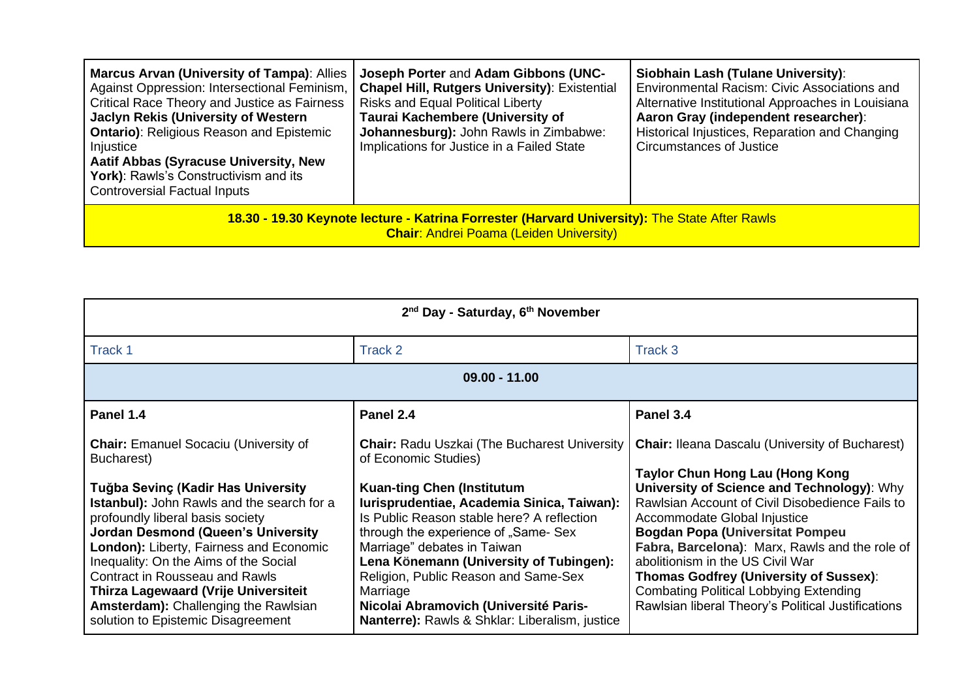| <b>Marcus Arvan (University of Tampa): Allies</b><br>Against Oppression: Intersectional Feminism,<br><b>Critical Race Theory and Justice as Fairness</b><br>Jaclyn Rekis (University of Western<br><b>Ontario): Religious Reason and Epistemic</b><br>Injustice<br><b>Aatif Abbas (Syracuse University, New</b><br>York): Rawls's Constructivism and its<br><b>Controversial Factual Inputs</b> | Joseph Porter and Adam Gibbons (UNC-<br><b>Chapel Hill, Rutgers University): Existential</b><br><b>Risks and Equal Political Liberty</b><br>Taurai Kachembere (University of<br>Johannesburg): John Rawls in Zimbabwe:<br>Implications for Justice in a Failed State | Siobhain Lash (Tulane University):<br>Environmental Racism: Civic Associations and<br>Alternative Institutional Approaches in Louisiana<br>Aaron Gray (independent researcher):<br>Historical Injustices, Reparation and Changing<br>Circumstances of Justice |
|-------------------------------------------------------------------------------------------------------------------------------------------------------------------------------------------------------------------------------------------------------------------------------------------------------------------------------------------------------------------------------------------------|----------------------------------------------------------------------------------------------------------------------------------------------------------------------------------------------------------------------------------------------------------------------|---------------------------------------------------------------------------------------------------------------------------------------------------------------------------------------------------------------------------------------------------------------|
| 18.30 - 19.30 Keynote lecture - Katrina Forrester (Harvard University): The State After Rawls<br><b>Chair: Andrei Poama (Leiden University)</b>                                                                                                                                                                                                                                                 |                                                                                                                                                                                                                                                                      |                                                                                                                                                                                                                                                               |

| 2 <sup>nd</sup> Day - Saturday, 6 <sup>th</sup> November                                                                                                                                                                                                                                                                                                                                                                                                                                         |                                                                                                                                                                                                                                                                                                                                                                                                                                                                                |                                                                                                                                                                                                                                                                                                                                                                                                                                                                                                                           |
|--------------------------------------------------------------------------------------------------------------------------------------------------------------------------------------------------------------------------------------------------------------------------------------------------------------------------------------------------------------------------------------------------------------------------------------------------------------------------------------------------|--------------------------------------------------------------------------------------------------------------------------------------------------------------------------------------------------------------------------------------------------------------------------------------------------------------------------------------------------------------------------------------------------------------------------------------------------------------------------------|---------------------------------------------------------------------------------------------------------------------------------------------------------------------------------------------------------------------------------------------------------------------------------------------------------------------------------------------------------------------------------------------------------------------------------------------------------------------------------------------------------------------------|
| Track 1                                                                                                                                                                                                                                                                                                                                                                                                                                                                                          | Track 2                                                                                                                                                                                                                                                                                                                                                                                                                                                                        | Track 3                                                                                                                                                                                                                                                                                                                                                                                                                                                                                                                   |
| $09.00 - 11.00$                                                                                                                                                                                                                                                                                                                                                                                                                                                                                  |                                                                                                                                                                                                                                                                                                                                                                                                                                                                                |                                                                                                                                                                                                                                                                                                                                                                                                                                                                                                                           |
| Panel 1.4                                                                                                                                                                                                                                                                                                                                                                                                                                                                                        | Panel 2.4                                                                                                                                                                                                                                                                                                                                                                                                                                                                      | Panel 3.4                                                                                                                                                                                                                                                                                                                                                                                                                                                                                                                 |
| <b>Chair:</b> Emanuel Socaciu (University of<br>Bucharest)<br>Tuğba Sevinç (Kadir Has University<br><b>Istanbul):</b> John Rawls and the search for a<br>profoundly liberal basis society<br><b>Jordan Desmond (Queen's University</b><br>London): Liberty, Fairness and Economic<br>Inequality: On the Aims of the Social<br><b>Contract in Rousseau and Rawls</b><br><b>Thirza Lagewaard (Vrije Universiteit</b><br>Amsterdam): Challenging the Rawlsian<br>solution to Epistemic Disagreement | <b>Chair: Radu Uszkai (The Bucharest University)</b><br>of Economic Studies)<br><b>Kuan-ting Chen (Institutum</b><br>Iurisprudentiae, Academia Sinica, Taiwan):<br>Is Public Reason stable here? A reflection<br>through the experience of "Same- Sex<br>Marriage" debates in Taiwan<br>Lena Könemann (University of Tubingen):<br>Religion, Public Reason and Same-Sex<br>Marriage<br>Nicolai Abramovich (Université Paris-<br>Nanterre): Rawls & Shklar: Liberalism, justice | <b>Chair: Ileana Dascalu (University of Bucharest)</b><br><b>Taylor Chun Hong Lau (Hong Kong</b><br>University of Science and Technology): Why<br>Rawlsian Account of Civil Disobedience Fails to<br>Accommodate Global Injustice<br><b>Bogdan Popa (Universitat Pompeu</b><br>Fabra, Barcelona): Marx, Rawls and the role of<br>abolitionism in the US Civil War<br><b>Thomas Godfrey (University of Sussex):</b><br><b>Combating Political Lobbying Extending</b><br>Rawlsian liberal Theory's Political Justifications |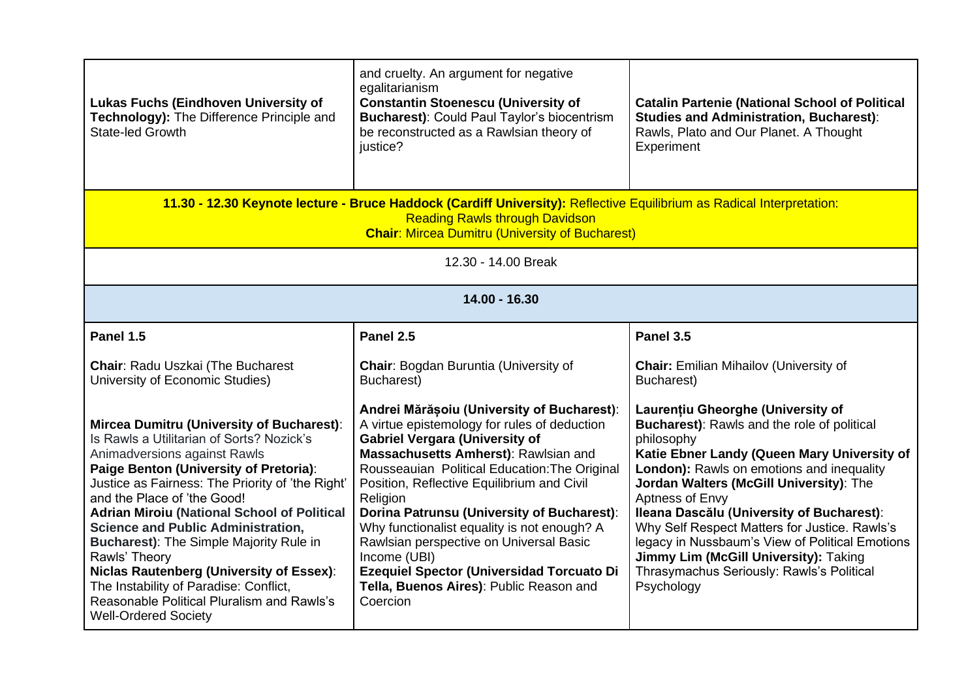| Lukas Fuchs (Eindhoven University of<br>Technology): The Difference Principle and<br><b>State-led Growth</b>                                                                                                                                                                                                                                                                                                                                                                                                                                                                                        | and cruelty. An argument for negative<br>egalitarianism<br><b>Constantin Stoenescu (University of</b><br><b>Bucharest): Could Paul Taylor's biocentrism</b><br>be reconstructed as a Rawlsian theory of<br>justice?                                                                                                                                                                                                                                                                                                                                | <b>Catalin Partenie (National School of Political</b><br><b>Studies and Administration, Bucharest):</b><br>Rawls, Plato and Our Planet. A Thought<br>Experiment                                                                                                                                                                                                                                                                                                                                                      |
|-----------------------------------------------------------------------------------------------------------------------------------------------------------------------------------------------------------------------------------------------------------------------------------------------------------------------------------------------------------------------------------------------------------------------------------------------------------------------------------------------------------------------------------------------------------------------------------------------------|----------------------------------------------------------------------------------------------------------------------------------------------------------------------------------------------------------------------------------------------------------------------------------------------------------------------------------------------------------------------------------------------------------------------------------------------------------------------------------------------------------------------------------------------------|----------------------------------------------------------------------------------------------------------------------------------------------------------------------------------------------------------------------------------------------------------------------------------------------------------------------------------------------------------------------------------------------------------------------------------------------------------------------------------------------------------------------|
| 11.30 - 12.30 Keynote lecture - Bruce Haddock (Cardiff University): Reflective Equilibrium as Radical Interpretation:<br><b>Reading Rawls through Davidson</b><br><b>Chair: Mircea Dumitru (University of Bucharest)</b>                                                                                                                                                                                                                                                                                                                                                                            |                                                                                                                                                                                                                                                                                                                                                                                                                                                                                                                                                    |                                                                                                                                                                                                                                                                                                                                                                                                                                                                                                                      |
| 12.30 - 14.00 Break                                                                                                                                                                                                                                                                                                                                                                                                                                                                                                                                                                                 |                                                                                                                                                                                                                                                                                                                                                                                                                                                                                                                                                    |                                                                                                                                                                                                                                                                                                                                                                                                                                                                                                                      |
| 14.00 - 16.30                                                                                                                                                                                                                                                                                                                                                                                                                                                                                                                                                                                       |                                                                                                                                                                                                                                                                                                                                                                                                                                                                                                                                                    |                                                                                                                                                                                                                                                                                                                                                                                                                                                                                                                      |
| Panel 1.5                                                                                                                                                                                                                                                                                                                                                                                                                                                                                                                                                                                           | Panel 2.5                                                                                                                                                                                                                                                                                                                                                                                                                                                                                                                                          | Panel 3.5                                                                                                                                                                                                                                                                                                                                                                                                                                                                                                            |
| Chair: Radu Uszkai (The Bucharest<br>University of Economic Studies)                                                                                                                                                                                                                                                                                                                                                                                                                                                                                                                                | Chair: Bogdan Buruntia (University of<br>Bucharest)                                                                                                                                                                                                                                                                                                                                                                                                                                                                                                | <b>Chair:</b> Emilian Mihailov (University of<br>Bucharest)                                                                                                                                                                                                                                                                                                                                                                                                                                                          |
| Mircea Dumitru (University of Bucharest):<br>Is Rawls a Utilitarian of Sorts? Nozick's<br>Animadversions against Rawls<br>Paige Benton (University of Pretoria):<br>Justice as Fairness: The Priority of 'the Right'<br>and the Place of 'the Good!<br><b>Adrian Miroiu (National School of Political</b><br><b>Science and Public Administration,</b><br><b>Bucharest): The Simple Majority Rule in</b><br>Rawls' Theory<br><b>Niclas Rautenberg (University of Essex):</b><br>The Instability of Paradise: Conflict,<br>Reasonable Political Pluralism and Rawls's<br><b>Well-Ordered Society</b> | Andrei Mărășoiu (University of Bucharest):<br>A virtue epistemology for rules of deduction<br><b>Gabriel Vergara (University of</b><br>Massachusetts Amherst): Rawlsian and<br>Rousseauian Political Education: The Original<br>Position, Reflective Equilibrium and Civil<br>Religion<br>Dorina Patrunsu (University of Bucharest):<br>Why functionalist equality is not enough? A<br>Rawlsian perspective on Universal Basic<br>Income (UBI)<br>Ezequiel Spector (Universidad Torcuato Di<br>Tella, Buenos Aires): Public Reason and<br>Coercion | Laurențiu Gheorghe (University of<br><b>Bucharest):</b> Rawls and the role of political<br>philosophy<br>Katie Ebner Landy (Queen Mary University of<br>London): Rawls on emotions and inequality<br>Jordan Walters (McGill University): The<br>Aptness of Envy<br>Ileana Dascălu (University of Bucharest):<br>Why Self Respect Matters for Justice. Rawls's<br>legacy in Nussbaum's View of Political Emotions<br>Jimmy Lim (McGill University): Taking<br>Thrasymachus Seriously: Rawls's Political<br>Psychology |